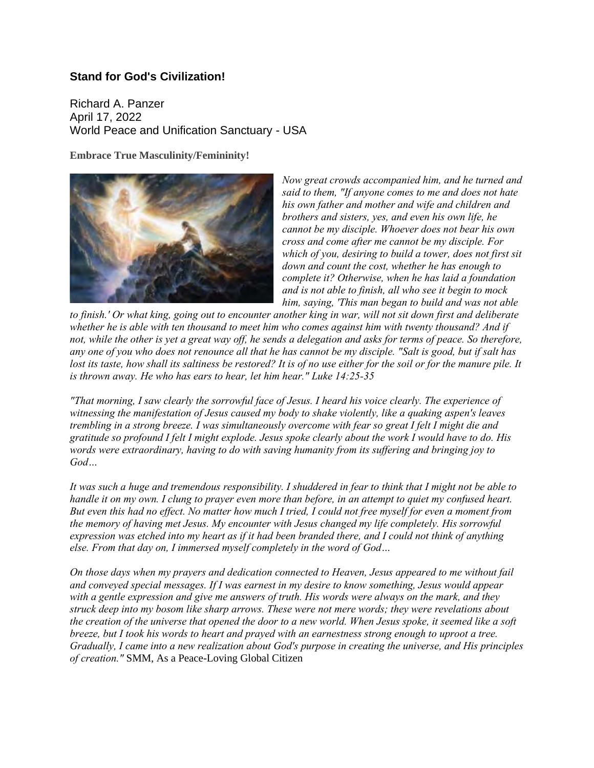## **Stand for God's Civilization!**

Richard A. Panzer April 17, 2022 World Peace and Unification Sanctuary - USA

**Embrace True Masculinity/Femininity!**



*Now great crowds accompanied him, and he turned and said to them, "If anyone comes to me and does not hate his own father and mother and wife and children and brothers and sisters, yes, and even his own life, he cannot be my disciple. Whoever does not bear his own cross and come after me cannot be my disciple. For which of you, desiring to build a tower, does not first sit down and count the cost, whether he has enough to complete it? Otherwise, when he has laid a foundation and is not able to finish, all who see it begin to mock him, saying, 'This man began to build and was not able*

to finish.' Or what king, going out to encounter another king in war, will not sit down first and deliberate whether he is able with ten thousand to meet him who comes against him with twenty thousand? And if not, while the other is yet a great way off, he sends a delegation and asks for terms of peace. So therefore, any one of you who does not renounce all that he has cannot be my disciple. "Salt is good, but if salt has lost its taste, how shall its saltiness be restored? It is of no use either for the soil or for the manure pile. It *is thrown away. He who has ears to hear, let him hear." Luke 14:25-35*

"That morning, I saw clearly the sorrowful face of Jesus. I heard his voice clearly. The experience of *witnessing the manifestation of Jesus caused my body to shake violently, like a quaking aspen's leaves* trembling in a strong breeze. I was simultaneously overcome with fear so great I felt I might die and gratitude so profound I felt I might explode. Jesus spoke clearly about the work I would have to do. His *words were extraordinary, having to do with saving humanity from its suffering and bringing joy to God…*

It was such a huge and tremendous responsibility. I shuddered in fear to think that I might not be able to handle it on my own. I clung to prayer even more than before, in an attempt to quiet my confused heart. But even this had no effect. No matter how much I tried, I could not free myself for even a moment from *the memory of having met Jesus. My encounter with Jesus changed my life completely. His sorrowful* expression was etched into my heart as if it had been branded there, and I could not think of anything *else. From that day on, I immersed myself completely in the word of God…*

*On those days when my prayers and dedication connected to Heaven, Jesus appeared to me without fail and conveyed special messages. If I was earnest in my desire to know something, Jesus would appear* with a gentle expression and give me answers of truth. His words were always on the mark, and they *struck deep into my bosom like sharp arrows. These were not mere words; they were revelations about* the creation of the universe that opened the door to a new world. When Jesus spoke, it seemed like a soft breeze, but I took his words to heart and prayed with an earnestness strong enough to uproot a tree. *Gradually, I came into a new realization about God's purpose in creating the universe, and His principles of creation."* SMM, As a Peace-Loving Global Citizen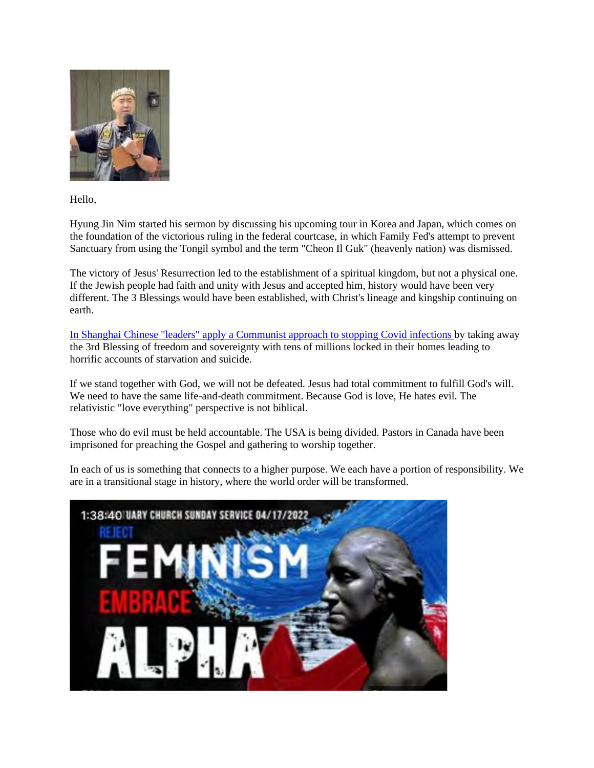

Hello,

Hyung Jin Nim started his sermon by discussing his upcoming tour in Korea and Japan, which comes on the foundation of the victorious ruling in the federal courtcase, in which Family Fed's attempt to prevent Sanctuary from using the Tongil symbol and the term "Cheon Il Guk" (heavenly nation) was dismissed.

The victory of Jesus' Resurrection led to the establishment of a spiritual kingdom, but not a physical one. If the Jewish people had faith and unity with Jesus and accepted him, history would have been very different. The 3 Blessings would have been established, with Christ's lineage and kingship continuing on earth.

In Shanghai Chinese "leaders" apply a Communist approach to stopping Covid infections by taking away the 3rd Blessing of freedom and sovereignty with tens of millions locked in their homes leading to horrific accounts of starvation and suicide.

If we stand together with God, we will not be defeated. Jesus had total commitment to fulfill God's will. We need to have the same life-and-death commitment. Because God is love, He hates evil. The relativistic "love everything" perspective is not biblical.

Those who do evil must be held accountable. The USA is being divided. Pastors in Canada have been imprisoned for preaching the Gospel and gathering to worship together.

In each of us is something that connects to a higher purpose. We each have a portion of responsibility. We are in a transitional stage in history, where the world order will be transformed.